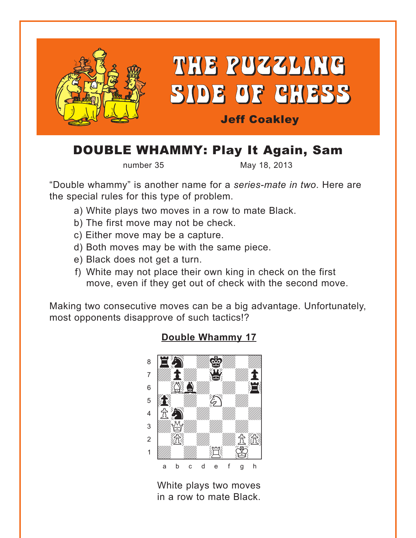<span id="page-0-0"></span>

# DOUBLE WHAMMY: Play It Again, Sam

number 35 May 18, 2013

"Double whammy" is another name for a *series-mate in two*. Here are the special rules for this type of problem.

- a) White plays two moves in a row to mate Black.
- b) The first move may not be check.
- c) Either move may be a capture.
- d) Both moves may be with the same piece.
- e) Black does not get a turn.
- f) White may not place their own king in check on the first move, even if they get out of check with the second move.

Making two consecutive moves can be a big advantage. Unfortunately, most opponents disapprove of such tactics!?



## **[Double Whammy 17](#page-6-0)**

White plays two moves in a row to mate Black.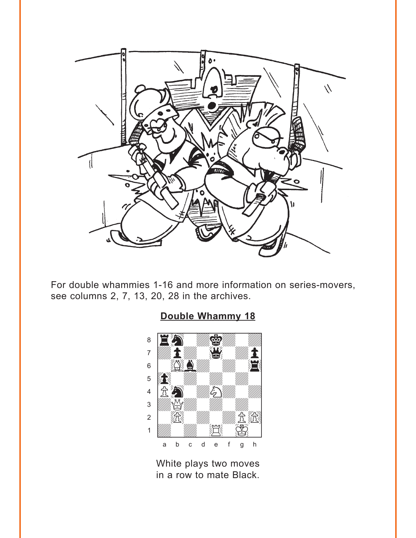<span id="page-1-0"></span>

For double whammies 1-16 and more information on series-movers, see columns 2, 7, 13, 20, 28 in the archives.



# **[Double Whammy 18](#page-6-0)**

White plays two moves in a row to mate Black.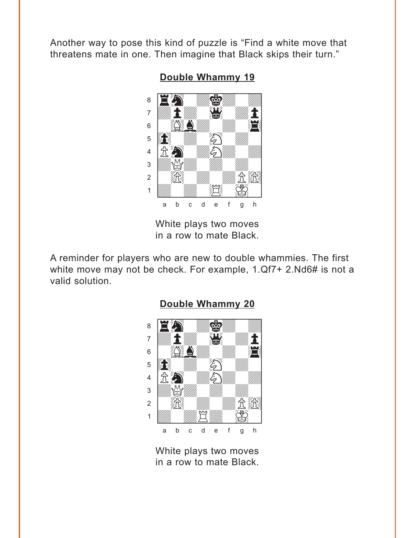<span id="page-2-0"></span>Another way to pose this kind of puzzle is "Find a white move that threatens mate in one. Then imagine that Black skips their turn."



**[Double Whammy 19](#page-7-0)**

White plays two moves in a row to mate Black.

A reminder for players who are new to double whammies. The first white move may not be check. For example, 1.Qf7+ 2.Nd6# is not a valid solution.



#### **[Double Whammy 20](#page-8-0)**

White plays two moves in a row to mate Black.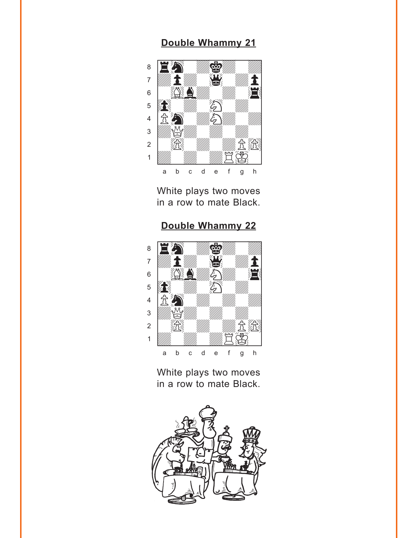<span id="page-3-0"></span>

White plays two moves in a row to mate Black.

**[Double Whammy 22](#page-9-0)**



White plays two moves in a row to mate Black.

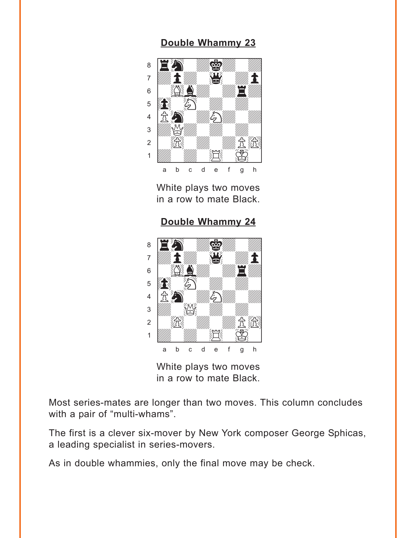<span id="page-4-0"></span>

White plays two moves in a row to mate Black.

**[Double Whammy 24](#page-10-0)**



White plays two moves in a row to mate Black.

Most series-mates are longer than two moves. This column concludes with a pair of "multi-whams".

The first is a clever six-mover by New York composer George Sphicas, a leading specialist in series-movers.

As in double whammies, only the final move may be check.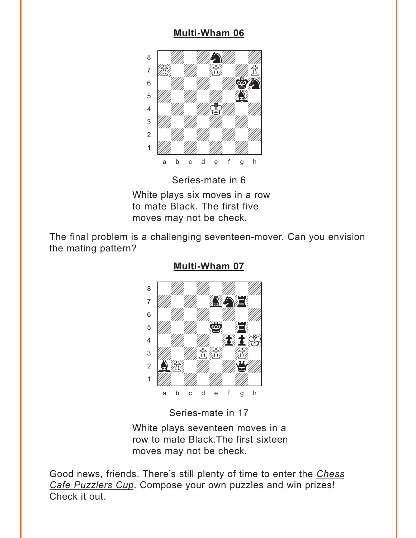## **[Multi-Wham 06](#page-10-0)**

<span id="page-5-0"></span>

Series-mate in 6

White plays six moves in a row to mate Black. The first five moves may not be check.

The final problem is a challenging seventeen-mover. Can you envision the mating pattern?



**[Multi-Wham 07](#page-11-0)**

Series-mate in 17

White plays seventeen moves in a row to mate Black.The first sixteen moves may not be check.

Good news, friends. There's still plenty of time to enter the *Chess Cafe Puzzlers Cup*. Compose your own puzzles and win prizes! Check it out.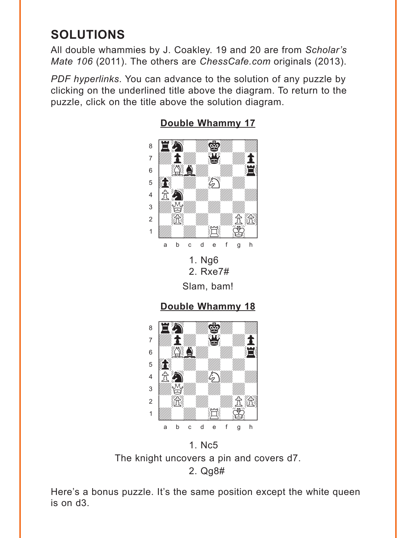# <span id="page-6-0"></span>**SOLUTIONS**

All double whammies by J. Coakley. 19 and 20 are from *Scholar's Mate 106* (2011). The others are *ChessCafe.com* originals (2013).

*PDF hyperlinks*. You can advance to the solution of any puzzle by clicking on the underlined title above the diagram. To return to the puzzle, click on the title above the solution diagram.



## **[Double Whammy 17](#page-0-0)**

Slam, bam!



The knight uncovers a pin and covers d7. 2. Qg8#

Here's a bonus puzzle. It's the same position except the white queen is on d3.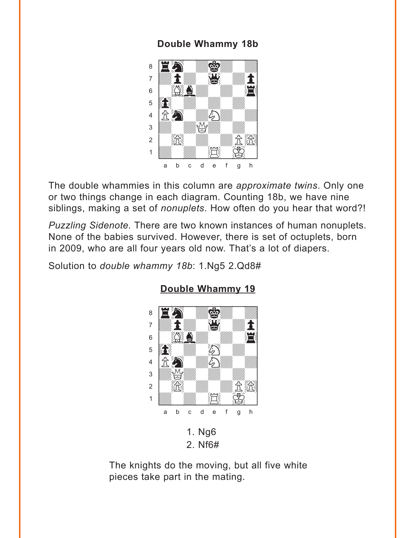### **Double Whammy 18b**

<span id="page-7-0"></span>

The double whammies in this column are *approximate twins*. Only one or two things change in each diagram. Counting 18b, we have nine siblings, making a set of *nonuplets*. How often do you hear that word?!

*Puzzling Sidenote.* There are two known instances of human nonuplets. None of the babies survived. However, there is set of octuplets, born in 2009, who are all four years old now. That's a lot of diapers.

Solution to *double whammy 18b*: 1.Ng5 2.Qd8#



### **[Double Whammy 19](#page-2-0)**

The knights do the moving, but all five white pieces take part in the mating.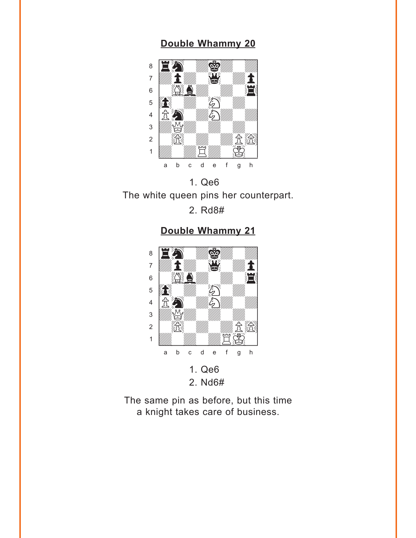<span id="page-8-0"></span>

1. Qe6 The white queen pins her counterpart. 2. Rd8#

**[Double Whammy 21](#page-3-0)**



The same pin as before, but this time a knight takes care of business.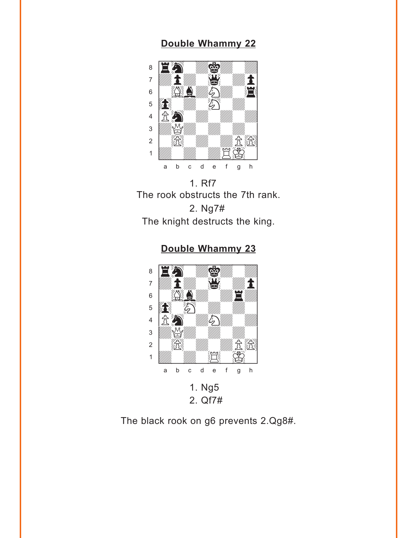<span id="page-9-0"></span>

1. Rf7 The rook obstructs the 7th rank. 2. Ng7# The knight destructs the king.

**[Double Whammy 23](#page-4-0)**



The black rook on g6 prevents 2.Qg8#.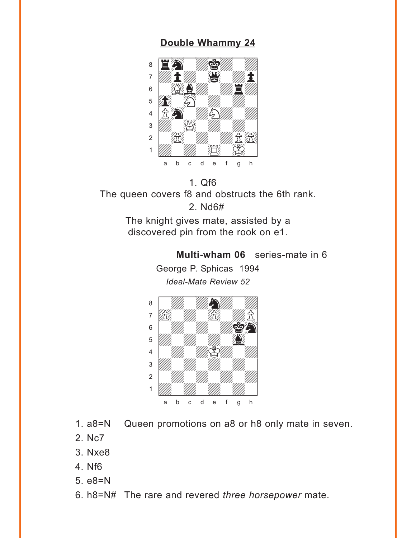<span id="page-10-0"></span>

1. Qf6 The queen covers f8 and obstructs the 6th rank. 2. Nd6#

> The knight gives mate, assisted by a discovered pin from the rook on e1.

> > **[Multi-wham 06](#page-5-0)** series-mate in 6 George P. Sphicas 1994 *Ideal-Mate Review 52* with the sum of the sum of the sum of the sum of the sum of the sum of the sum of the sum of the sum of the sum of the sum of the sum of the sum of the sum of the sum of the sum of the sum of the sum of the sum of the sum



- 1. a8=N Queen promotions on a8 or h8 only mate in seven.
- 2. Nc7
- 3. Nxe8
- 4. Nf6
- 5. e8=N
- 6. h8=N# The rare and revered *three horsepower* mate.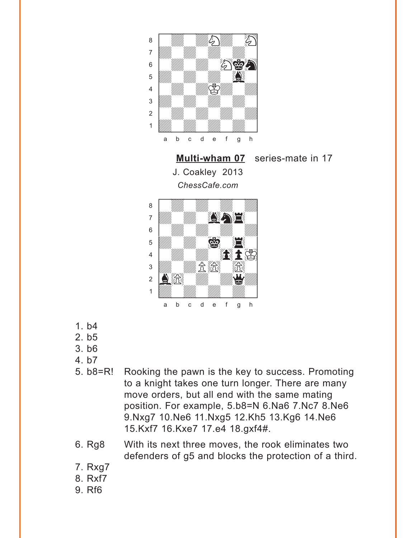<span id="page-11-0"></span>

**[Multi-wham 07](#page-5-0)** series-mate in 17 J. Coakley 2013 *ChessCafe.com*



- 1. b4
- 2. b5
- 3. b6
- 4. b7
- 5. b8=R! Rooking the pawn is the key to success. Promoting to a knight takes one turn longer. There are many move orders, but all end with the same mating position. For example, 5.b8=N 6.Na6 7.Nc7 8.Ne6 9.Nxg7 10.Ne6 11.Nxg5 12.Kh5 13.Kg6 14.Ne6 15.Kxf7 16.Kxe7 17.e4 18.gxf4#.
- 6. Rg8 With its next three moves, the rook eliminates two defenders of g5 and blocks the protection of a third.
- 7. Rxg7
- 8. Rxf7
- 9. Rf6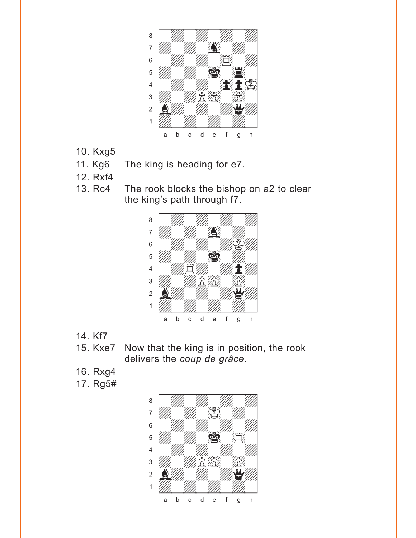

- 10. Kxg5
- 11. Kg6 The king is heading for e7.
- 12. Rxf4
- 13. Rc4 The rook blocks the bishop on a2 to clear the king's path through f7.



- 14. Kf7
- 15. Kxe7 Now that the king is in position, the rook delivers the *coup de grâce*.
- 16. Rxg4
- 17. Rg5#